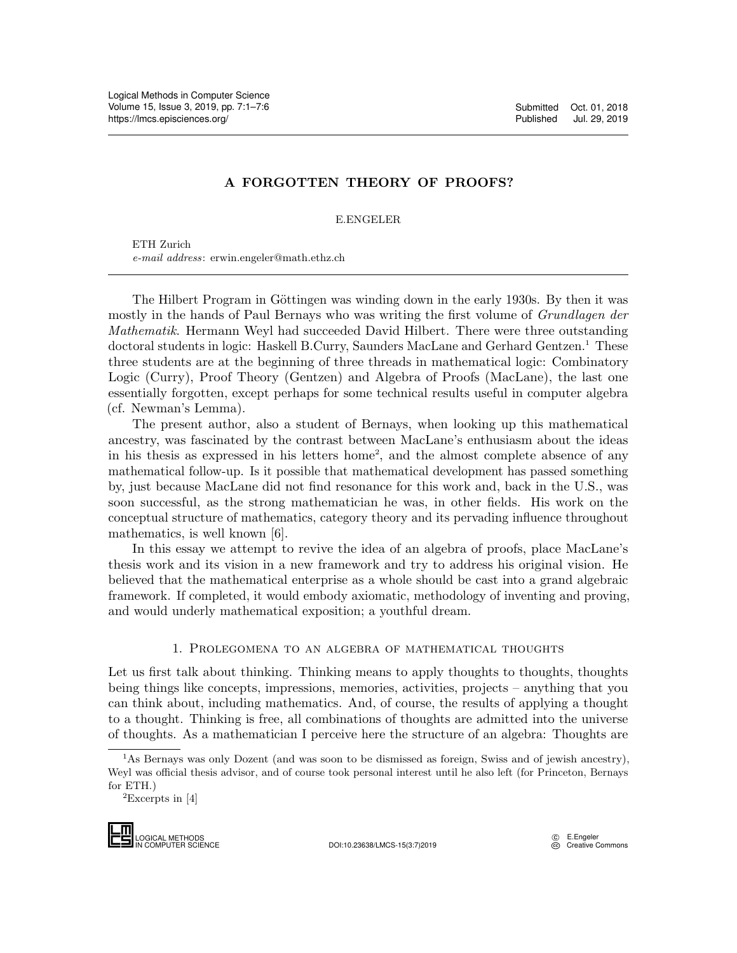## A FORGOTTEN THEORY OF PROOFS?

E.ENGELER

ETH Zurich e-mail address: erwin.engeler@math.ethz.ch

The Hilbert Program in Göttingen was winding down in the early 1930s. By then it was mostly in the hands of Paul Bernays who was writing the first volume of *Grundlagen der* Mathematik. Hermann Weyl had succeeded David Hilbert. There were three outstanding doctoral students in logic: Haskell B.Curry, Saunders MacLane and Gerhard Gentzen.<sup>[1](#page-0-0)</sup> These three students are at the beginning of three threads in mathematical logic: Combinatory Logic (Curry), Proof Theory (Gentzen) and Algebra of Proofs (MacLane), the last one essentially forgotten, except perhaps for some technical results useful in computer algebra (cf. Newman's Lemma).

The present author, also a student of Bernays, when looking up this mathematical ancestry, was fascinated by the contrast between MacLane's enthusiasm about the ideas in his thesis as expressed in his letters home<sup>[2](#page-0-1)</sup>, and the almost complete absence of any mathematical follow-up. Is it possible that mathematical development has passed something by, just because MacLane did not find resonance for this work and, back in the U.S., was soon successful, as the strong mathematician he was, in other fields. His work on the conceptual structure of mathematics, category theory and its pervading influence throughout mathematics, is well known [\[6\]](#page-5-1).

In this essay we attempt to revive the idea of an algebra of proofs, place MacLane's thesis work and its vision in a new framework and try to address his original vision. He believed that the mathematical enterprise as a whole should be cast into a grand algebraic framework. If completed, it would embody axiomatic, methodology of inventing and proving, and would underly mathematical exposition; a youthful dream.

## 1. Prolegomena to an algebra of mathematical thoughts

Let us first talk about thinking. Thinking means to apply thoughts to thoughts, thoughts being things like concepts, impressions, memories, activities, projects – anything that you can think about, including mathematics. And, of course, the results of applying a thought to a thought. Thinking is free, all combinations of thoughts are admitted into the universe of thoughts. As a mathematician I perceive here the structure of an algebra: Thoughts are can think about,<br>to a thought. The<br>of thoughts. As a<br> $\frac{1}{1}$ As Bernays was<br>Weyl was official the<br>for ETH.)<br> $\frac{2}{1}$ Excerpts in [4]

<span id="page-0-1"></span> ${}^{2}$ Excerpts in [\[4\]](#page-5-2)



<span id="page-0-0"></span><sup>1</sup>As Bernays was only Dozent (and was soon to be dismissed as foreign, Swiss and of jewish ancestry), Weyl was official thesis advisor, and of course took personal interest until he also left (for Princeton, Bernays for ETH.)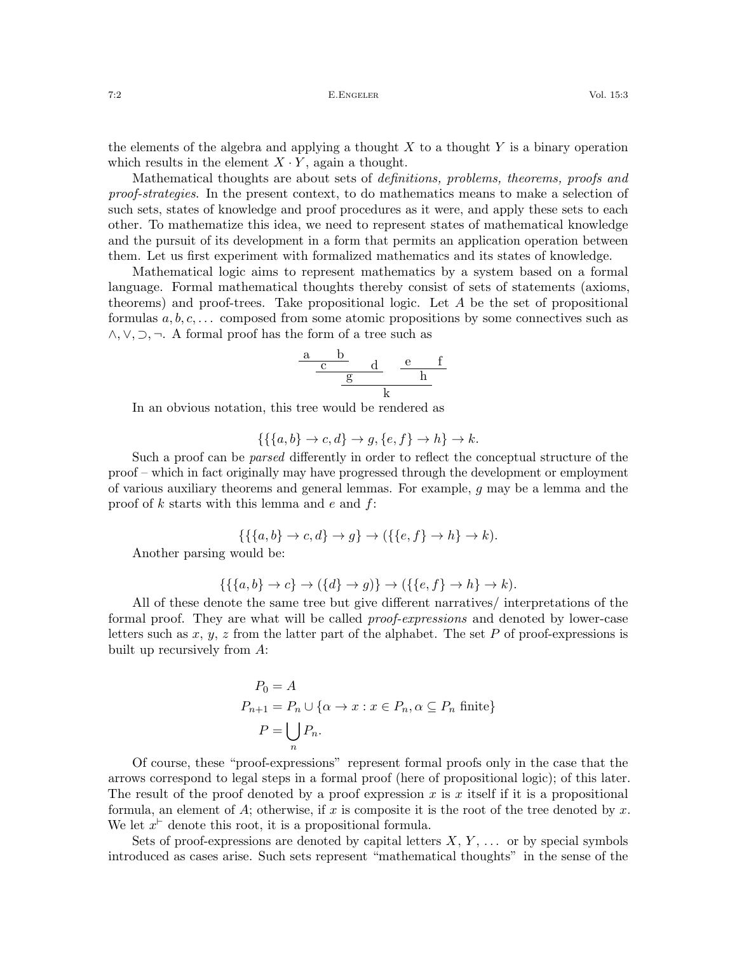The E. ENGELER CO. 15:3

the elements of the algebra and applying a thought  $X$  to a thought  $Y$  is a binary operation which results in the element  $X \cdot Y$ , again a thought.

Mathematical thoughts are about sets of *definitions, problems, theorems, proofs and* proof-strategies. In the present context, to do mathematics means to make a selection of such sets, states of knowledge and proof procedures as it were, and apply these sets to each other. To mathematize this idea, we need to represent states of mathematical knowledge and the pursuit of its development in a form that permits an application operation between them. Let us first experiment with formalized mathematics and its states of knowledge.

Mathematical logic aims to represent mathematics by a system based on a formal language. Formal mathematical thoughts thereby consist of sets of statements (axioms, theorems) and proof-trees. Take propositional logic. Let  $A$  be the set of propositional formulas  $a, b, c, \ldots$  composed from some atomic propositions by some connectives such as ∧, ∨, ⊃, ¬. A formal proof has the form of a tree such as

$$
\begin{array}{c|cc}\n\texttt{a} & \texttt{b} \\
\hline\n\texttt{c} & \texttt{d} & \texttt{e} & \texttt{f} \\
\hline\n\texttt{g} & \texttt{h} & \\
\hline\n\texttt{k}\n\end{array}
$$

In an obvious notation, this tree would be rendered as

$$
\{\{\{a, b\} \to c, d\} \to g, \{e, f\} \to h\} \to k.
$$

Such a proof can be parsed differently in order to reflect the conceptual structure of the proof – which in fact originally may have progressed through the development or employment of various auxiliary theorems and general lemmas. For example,  $q$  may be a lemma and the proof of k starts with this lemma and  $e$  and  $f$ :

$$
\{\{\{a,b\} \to c, d\} \to g\} \to (\{\{e,f\} \to h\} \to k).
$$

Another parsing would be:

$$
\{\{\{a,b\}\to c\}\to (\{d\}\to g)\}\to (\{\{e,f\}\to h\}\to k).
$$

All of these denote the same tree but give different narratives/ interpretations of the formal proof. They are what will be called proof-expressions and denoted by lower-case letters such as  $x, y, z$  from the latter part of the alphabet. The set P of proof-expressions is built up recursively from A:

$$
P_0 = A
$$
  
\n
$$
P_{n+1} = P_n \cup \{ \alpha \to x : x \in P_n, \alpha \subseteq P_n \text{ finite} \}
$$
  
\n
$$
P = \bigcup_n P_n.
$$

Of course, these "proof-expressions" represent formal proofs only in the case that the arrows correspond to legal steps in a formal proof (here of propositional logic); of this later. The result of the proof denoted by a proof expression x is x itself if it is a propositional formula, an element of A; otherwise, if x is composite it is the root of the tree denoted by x. We let  $x^{\vdash}$  denote this root, it is a propositional formula.

Sets of proof-expressions are denoted by capital letters  $X, Y, \ldots$  or by special symbols introduced as cases arise. Such sets represent "mathematical thoughts" in the sense of the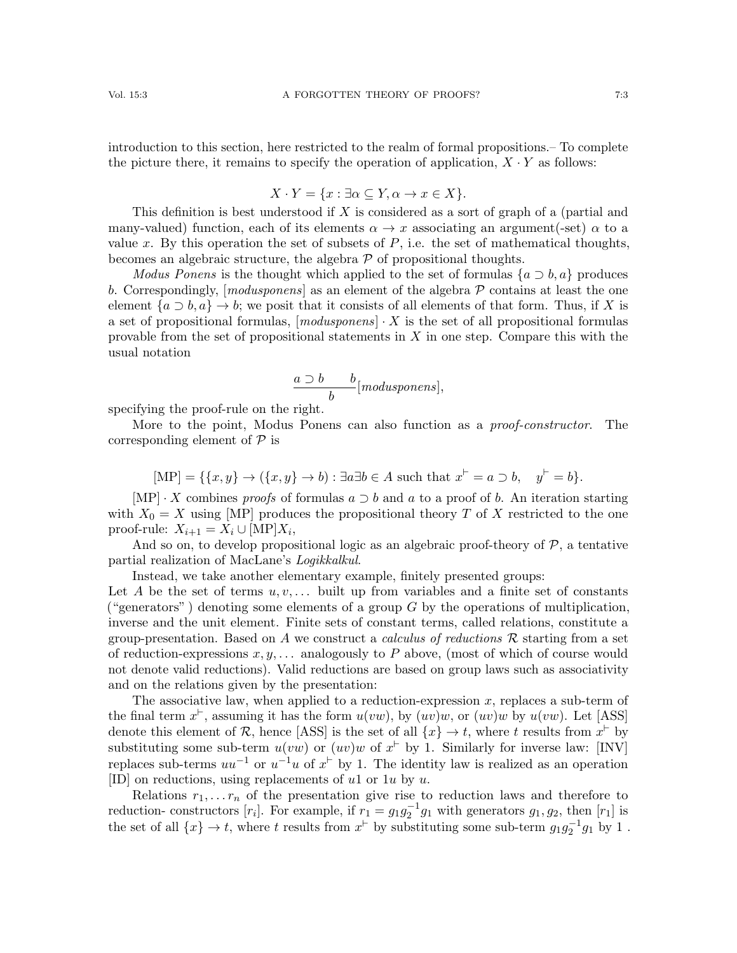introduction to this section, here restricted to the realm of formal propositions.– To complete the picture there, it remains to specify the operation of application,  $X \cdot Y$  as follows:

$$
X \cdot Y = \{ x : \exists \alpha \subseteq Y, \alpha \to x \in X \}.
$$

This definition is best understood if X is considered as a sort of graph of a (partial and many-valued) function, each of its elements  $\alpha \to x$  associating an argument(-set)  $\alpha$  to a value x. By this operation the set of subsets of  $P$ , i.e. the set of mathematical thoughts, becomes an algebraic structure, the algebra  $P$  of propositional thoughts.

*Modus Ponens* is the thought which applied to the set of formulas  $\{a \supset b, a\}$  produces b. Correspondingly,  $[modus ponens]$  as an element of the algebra  $P$  contains at least the one element  $\{a \supset b, a\} \rightarrow b$ ; we posit that it consists of all elements of that form. Thus, if X is a set of propositional formulas,  $\lceil \text{modusponents} \rceil \cdot X$  is the set of all propositional formulas provable from the set of propositional statements in  $X$  in one step. Compare this with the usual notation

$$
\frac{a\supset b\quad b}{b} [modus ponens],
$$

specifying the proof-rule on the right.

More to the point, Modus Ponens can also function as a *proof-constructor*. The corresponding element of  $\mathcal P$  is

$$
[MP] = \{ \{x, y\} \to (\{x, y\} \to b) : \exists a \exists b \in A \text{ such that } x^{\vdash} = a \supset b, \quad y^{\vdash} = b \}.
$$

 $[MP] \cdot X$  combines proofs of formulas  $a \supset b$  and a to a proof of b. An iteration starting with  $X_0 = X$  using [MP] produces the propositional theory T of X restricted to the one proof-rule:  $X_{i+1} = X_i \cup [MP]X_i$ ,

And so on, to develop propositional logic as an algebraic proof-theory of  $P$ , a tentative partial realization of MacLane's Logikkalkul.

Instead, we take another elementary example, finitely presented groups:

Let A be the set of terms  $u, v, \ldots$  built up from variables and a finite set of constants ("generators") denoting some elements of a group  $G$  by the operations of multiplication, inverse and the unit element. Finite sets of constant terms, called relations, constitute a group-presentation. Based on A we construct a *calculus of reductions*  $\mathcal R$  starting from a set of reduction-expressions  $x, y, \ldots$  analogously to P above, (most of which of course would not denote valid reductions). Valid reductions are based on group laws such as associativity and on the relations given by the presentation:

The associative law, when applied to a reduction-expression  $x$ , replaces a sub-term of the final term  $x^{\dagger}$ , assuming it has the form  $u(vw)$ , by  $(uv)w$ , or  $(uv)w$  by  $u(vw)$ . Let [ASS] denote this element of R, hence [ASS] is the set of all  $\{x\} \to t$ , where t results from  $x^{\vdash}$  by substituting some sub-term  $u(vw)$  or  $(uv)w$  of  $x^{\vdash}$  by 1. Similarly for inverse law: [INV] replaces sub-terms  $uu^{-1}$  or  $u^{-1}u$  of  $x^{\vdash}$  by 1. The identity law is realized as an operation [ID] on reductions, using replacements of  $u_1$  or  $1u$  by  $u$ .

Relations  $r_1, \ldots r_n$  of the presentation give rise to reduction laws and therefore to reduction-constructors  $[r_i]$ . For example, if  $r_1 = g_1 g_2^{-1} g_1$  with generators  $g_1, g_2$ , then  $[r_1]$  is the set of all  $\{x\} \to t$ , where t results from  $x^{\vdash}$  by substituting some sub-term  $g_1 g_2^{-1} g_1$  by 1.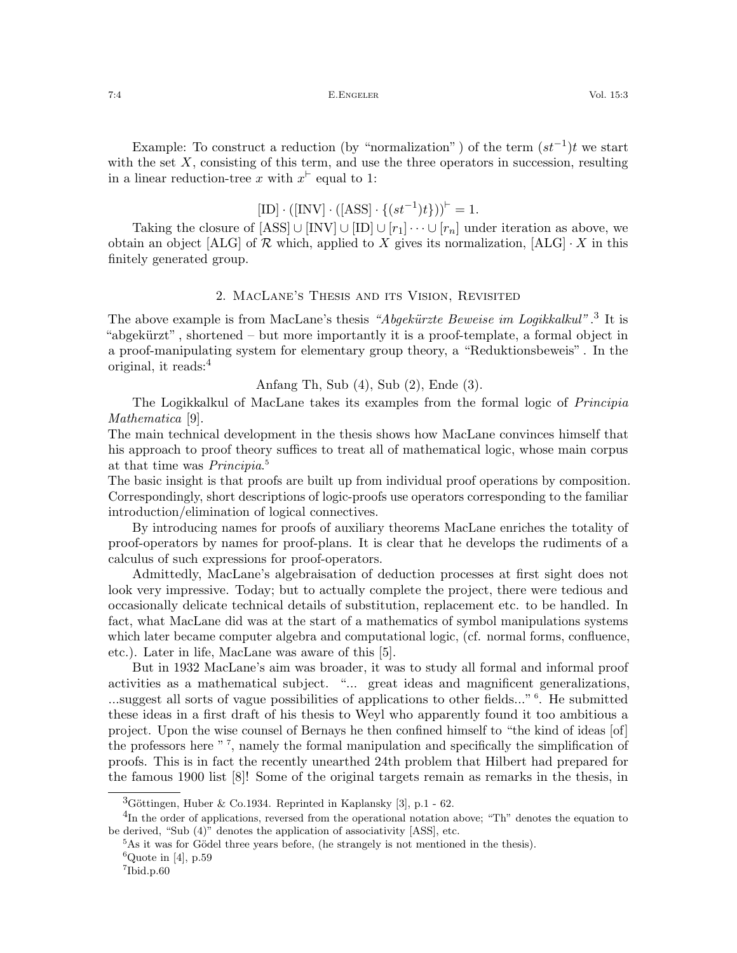7:4 E.Engeler Vol. 15:3

Example: To construct a reduction (by "normalization") of the term  $(st^{-1})t$  we start with the set  $X$ , consisting of this term, and use the three operators in succession, resulting in a linear reduction-tree x with  $x^{\vdash}$  equal to 1:

# $[ID] \cdot ([INV] \cdot ([ASS] \cdot \{(st^{-1})t\}))^{\vdash} = 1.$

Taking the closure of  $[ASS] \cup [INV] \cup [ID] \cup [r_1] \cdots \cup [r_n]$  under iteration as above, we obtain an object [ALG] of  $\mathcal R$  which, applied to X gives its normalization,  $[ALG] \cdot X$  in this finitely generated group.

## 2. MacLane's Thesis and its Vision, Revisited

The above example is from MacLane's thesis "Abgekürzte Beweise im Logikkalkul".<sup>[3](#page-3-0)</sup> It is "abgekürzt", shortened – but more importantly it is a proof-template, a formal object in a proof-manipulating system for elementary group theory, a "Reduktionsbeweis" . In the original, it reads:[4](#page-3-1)

Anfang Th, Sub (4), Sub (2), Ende (3).

The Logikkalkul of MacLane takes its examples from the formal logic of Principia Mathematica [\[9\]](#page-5-3).

The main technical development in the thesis shows how MacLane convinces himself that his approach to proof theory suffices to treat all of mathematical logic, whose main corpus at that time was *Principia*.<sup>[5](#page-3-2)</sup>

The basic insight is that proofs are built up from individual proof operations by composition. Correspondingly, short descriptions of logic-proofs use operators corresponding to the familiar introduction/elimination of logical connectives.

By introducing names for proofs of auxiliary theorems MacLane enriches the totality of proof-operators by names for proof-plans. It is clear that he develops the rudiments of a calculus of such expressions for proof-operators.

Admittedly, MacLane's algebraisation of deduction processes at first sight does not look very impressive. Today; but to actually complete the project, there were tedious and occasionally delicate technical details of substitution, replacement etc. to be handled. In fact, what MacLane did was at the start of a mathematics of symbol manipulations systems which later became computer algebra and computational logic, (cf. normal forms, confluence, etc.). Later in life, MacLane was aware of this [\[5\]](#page-5-4).

But in 1932 MacLane's aim was broader, it was to study all formal and informal proof activities as a mathematical subject. "... great ideas and magnificent generalizations, ...suggest all sorts of vague possibilities of applications to other fields..." [6](#page-3-3) . He submitted these ideas in a first draft of his thesis to Weyl who apparently found it too ambitious a project. Upon the wise counsel of Bernays he then confined himself to "the kind of ideas [of] the professors here "<sup>[7](#page-3-4)</sup>, namely the formal manipulation and specifically the simplification of proofs. This is in fact the recently unearthed 24th problem that Hilbert had prepared for the famous 1900 list [\[8\]](#page-5-5)! Some of the original targets remain as remarks in the thesis, in

<span id="page-3-1"></span><span id="page-3-0"></span><sup>&</sup>lt;sup>3</sup>Göttingen, Huber & Co.1934. Reprinted in Kaplansky [\[3\]](#page-5-6), p.1 - 62.

<sup>&</sup>lt;sup>4</sup>In the order of applications, reversed from the operational notation above; "Th" denotes the equation to be derived, "Sub (4)" denotes the application of associativity [ASS], etc.

<span id="page-3-2"></span> $5As$  it was for Gödel three years before, (he strangely is not mentioned in the thesis).

<span id="page-3-3"></span><sup>&</sup>lt;sup>6</sup>Quote in [\[4\]](#page-5-2), p.59

<span id="page-3-4"></span> $7$ Ibid.p.60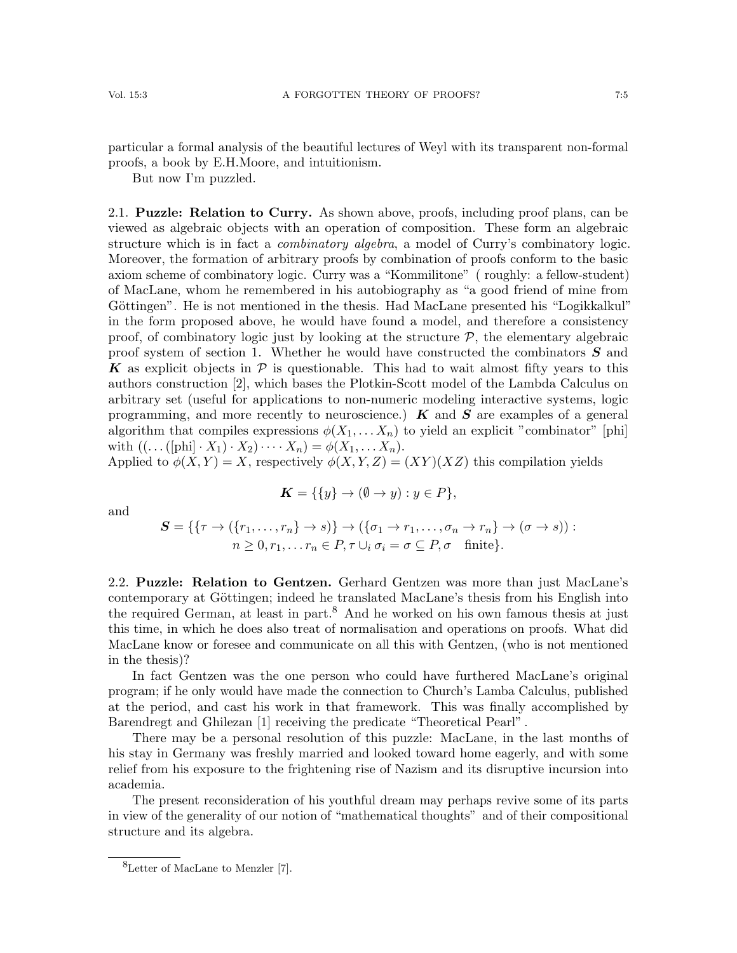particular a formal analysis of the beautiful lectures of Weyl with its transparent non-formal proofs, a book by E.H.Moore, and intuitionism.

But now I'm puzzled.

2.1. Puzzle: Relation to Curry. As shown above, proofs, including proof plans, can be viewed as algebraic objects with an operation of composition. These form an algebraic structure which is in fact a *combinatory algebra*, a model of Curry's combinatory logic. Moreover, the formation of arbitrary proofs by combination of proofs conform to the basic axiom scheme of combinatory logic. Curry was a "Kommilitone" ( roughly: a fellow-student) of MacLane, whom he remembered in his autobiography as "a good friend of mine from Göttingen". He is not mentioned in the thesis. Had MacLane presented his "Logikkalkul" in the form proposed above, he would have found a model, and therefore a consistency proof, of combinatory logic just by looking at the structure  $P$ , the elementary algebraic proof system of section 1. Whether he would have constructed the combinators  $S$  and K as explicit objects in  $\mathcal P$  is questionable. This had to wait almost fifty years to this authors construction [\[2\]](#page-5-7), which bases the Plotkin-Scott model of the Lambda Calculus on arbitrary set (useful for applications to non-numeric modeling interactive systems, logic programming, and more recently to neuroscience.)  $\boldsymbol{K}$  and  $\boldsymbol{S}$  are examples of a general algorithm that compiles expressions  $\phi(X_1, \ldots, X_n)$  to yield an explicit "combinator" [phi] with  $((...([phi] \cdot X_1) \cdot X_2) \cdot \cdot \cdot X_n) = \phi(X_1, \ldots X_n).$ 

Applied to  $\phi(X, Y) = X$ , respectively  $\phi(X, Y, Z) = (XY)(XZ)$  this compilation yields

$$
\mathbf{K} = \{ \{y\} \to (\emptyset \to y) : y \in P \},\
$$

and

$$
S = \{ \{\tau \to (\{r_1, \ldots, r_n\} \to s) \} \to (\{\sigma_1 \to r_1, \ldots, \sigma_n \to r_n\} \to (\sigma \to s)) : n \geq 0, r_1, \ldots r_n \in P, \tau \cup_i \sigma_i = \sigma \subseteq P, \sigma \text{ finite} \}.
$$

2.2. Puzzle: Relation to Gentzen. Gerhard Gentzen was more than just MacLane's contemporary at Göttingen; indeed he translated MacLane's thesis from his English into the required German, at least in part.<sup>[8](#page-4-0)</sup> And he worked on his own famous thesis at just this time, in which he does also treat of normalisation and operations on proofs. What did MacLane know or foresee and communicate on all this with Gentzen, (who is not mentioned in the thesis)?

In fact Gentzen was the one person who could have furthered MacLane's original program; if he only would have made the connection to Church's Lamba Calculus, published at the period, and cast his work in that framework. This was finally accomplished by Barendregt and Ghilezan [\[1\]](#page-5-8) receiving the predicate "Theoretical Pearl" .

There may be a personal resolution of this puzzle: MacLane, in the last months of his stay in Germany was freshly married and looked toward home eagerly, and with some relief from his exposure to the frightening rise of Nazism and its disruptive incursion into academia.

The present reconsideration of his youthful dream may perhaps revive some of its parts in view of the generality of our notion of "mathematical thoughts" and of their compositional structure and its algebra.

<span id="page-4-0"></span><sup>8</sup>Letter of MacLane to Menzler [\[7\]](#page-5-9).